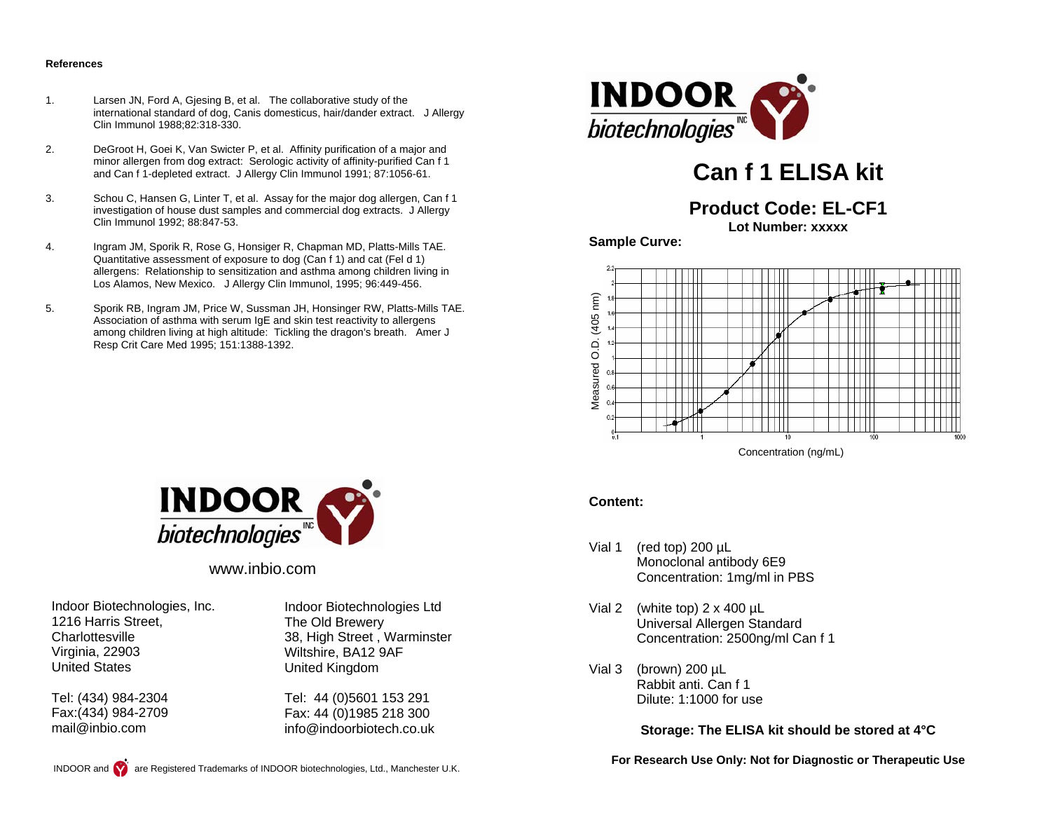#### **References**

- 1. Larsen JN, Ford A, Gjesing B, et al. The collaborative study of the international standard of dog, Canis domesticus, hair/dander extract. J Allergy Clin Immunol 1988;82:318-330.
- 2. DeGroot H, Goei K, Van Swicter P, et al. Affinity purification of a major and minor allergen from dog extract: Serologic activity of affinity-purified Can f 1 and Can f 1-depleted extract. J Allergy Clin Immunol 1991; 87:1056-61.
- 3. Schou C, Hansen G, Linter T, et al. Assay for the major dog allergen, Can f 1 investigation of house dust samples and commercial dog extracts. J Allergy Clin Immunol 1992; 88:847-53.
- 4. Ingram JM, Sporik R, Rose G, Honsiger R, Chapman MD, Platts-Mills TAE. Quantitative assessment of exposure to dog (Can f 1) and cat (Fel d 1) allergens: Relationship to sensitization and asthma among children living in Los Alamos, New Mexico. J Allergy Clin Immunol, 1995; 96:449-456.
- 5. Sporik RB, Ingram JM, Price W, Sussman JH, Honsinger RW, Platts-Mills TAE. Association of asthma with serum IgE and skin test reactivity to allergens among children living at high altitude: Tickling the dragon's breath. Amer J Resp Crit Care Med 1995; 151:1388-1392.



# **Can f 1 ELISA kit**

# **Product Code: EL-CF1**

**Lot Number: xxxxx** 

**Sample Curve:** 



Concentration (ng/mL)

#### **Content:**

- Vial 1 (red top) 200 µL Monoclonal antibody 6E9 Concentration: 1mg/ml in PBS
- Vial 2 (white top)  $2 \times 400 \mu L$  Universal Allergen Standard Concentration: 2500ng/ml Can f 1
- Vial 3 (brown) 200 µL Rabbit anti. Can f 1 Dilute: 1:1000 for use

#### **Storage: The ELISA kit should be stored at 4°C**

**For Research Use Only: Not for Diagnostic or Therapeutic Use** 



www.inbio.com

Indoor Biotechnologies, Inc. 1216 Harris Street, **Charlottesville** Virginia, 22903 United States

Tel: (434) 984-2304 Fax:(434) 984-2709 mail@inbio.com

Indoor Biotechnologies Ltd The Old Brewery 38, High Street , Warminster Wiltshire, BA12 9AF United Kingdom

Tel: 44 (0)5601 153 291 Fax: 44 (0)1985 218 300 info@indoorbiotech.co.uk